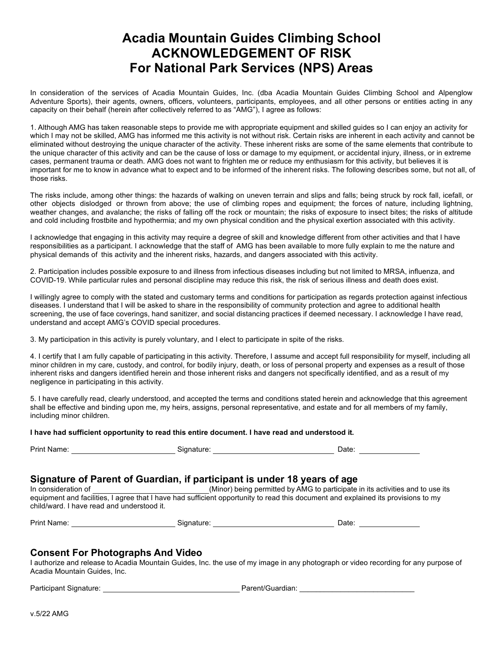# **Acadia Mountain Guides Climbing School ACKNOWLEDGEMENT OF RISK For National Park Services (NPS) Areas**

In consideration of the services of Acadia Mountain Guides, Inc. (dba Acadia Mountain Guides Climbing School and Alpenglow Adventure Sports), their agents, owners, officers, volunteers, participants, employees, and all other persons or entities acting in any capacity on their behalf (herein after collectively referred to as "AMG"), I agree as follows:

1. Although AMG has taken reasonable steps to provide me with appropriate equipment and skilled guides so I can enjoy an activity for which I may not be skilled, AMG has informed me this activity is not without risk. Certain risks are inherent in each activity and cannot be eliminated without destroying the unique character of the activity. These inherent risks are some of the same elements that contribute to the unique character of this activity and can be the cause of loss or damage to my equipment, or accidental injury, illness, or in extreme cases, permanent trauma or death. AMG does not want to frighten me or reduce my enthusiasm for this activity, but believes it is important for me to know in advance what to expect and to be informed of the inherent risks. The following describes some, but not all, of those risks.

The risks include, among other things: the hazards of walking on uneven terrain and slips and falls; being struck by rock fall, icefall, or other objects dislodged or thrown from above; the use of climbing ropes and equipment; the forces of nature, including lightning, weather changes, and avalanche; the risks of falling off the rock or mountain; the risks of exposure to insect bites; the risks of altitude and cold including frostbite and hypothermia; and my own physical condition and the physical exertion associated with this activity.

I acknowledge that engaging in this activity may require a degree of skill and knowledge different from other activities and that I have responsibilities as a participant. I acknowledge that the staff of AMG has been available to more fully explain to me the nature and physical demands of this activity and the inherent risks, hazards, and dangers associated with this activity.

2. Participation includes possible exposure to and illness from infectious diseases including but not limited to MRSA, influenza, and COVID-19. While particular rules and personal discipline may reduce this risk, the risk of serious illness and death does exist.

I willingly agree to comply with the stated and customary terms and conditions for participation as regards protection against infectious diseases. I understand that I will be asked to share in the responsibility of community protection and agree to additional health screening, the use of face coverings, hand sanitizer, and social distancing practices if deemed necessary. I acknowledge I have read, understand and accept AMG's COVID special procedures.

3. My participation in this activity is purely voluntary, and I elect to participate in spite of the risks.

4. I certify that I am fully capable of participating in this activity. Therefore, I assume and accept full responsibility for myself, including all minor children in my care, custody, and control, for bodily injury, death, or loss of personal property and expenses as a result of those inherent risks and dangers identified herein and those inherent risks and dangers not specifically identified, and as a result of my negligence in participating in this activity.

5. I have carefully read, clearly understood, and accepted the terms and conditions stated herein and acknowledge that this agreement shall be effective and binding upon me, my heirs, assigns, personal representative, and estate and for all members of my family, including minor children.

#### **I have had sufficient opportunity to read this entire document. I have read and understood it.**

| .<br>™am⊾<br>'rın.<br>$\sim$ $\sim$ $\sim$ $\sim$ $\sim$ | יי | . |  |
|----------------------------------------------------------|----|---|--|
|                                                          |    |   |  |

## **Signature of Parent of Guardian, if participant is under 18 years of age**

In consideration of (Minor) being permitted by AMG to participate in its activities and to use its equipment and facilities, I agree that I have had sufficient opportunity to read this document and explained its provisions to my child/ward. I have read and understood it.

Print Name: <u>Consumers Communications</u> Communications Communications Communications Communications Communications Communications Communications Communications Communications Communications Communications Communications Com

## **Consent For Photographs And Video**

I authorize and release to Acadia Mountain Guides, Inc. the use of my image in any photograph or video recording for any purpose of Acadia Mountain Guides, Inc.

Participant Signature: Parent/Guardian: \_\_\_\_\_\_\_\_\_\_\_\_\_\_\_\_\_\_\_\_\_\_\_\_\_\_\_\_